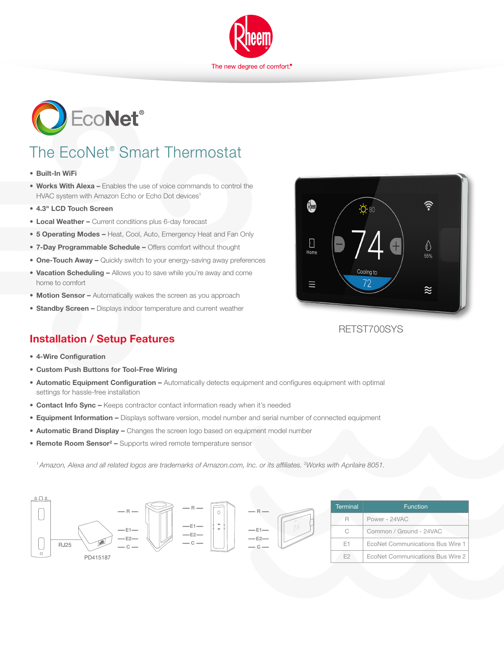



# The EcoNet® Smart Thermostat

- **• Built-In WiFi**
- **• Works With Alexa –** Enables the use of voice commands to control the HVAC system with Amazon Echo or Echo Dot devices<sup>1</sup>
- **• 4.3" LCD Touch Screen**
- **• Local Weather** Current conditions plus 6-day forecast
- **• 5 Operating Modes** Heat, Cool, Auto, Emergency Heat and Fan Only
- **• 7-Day Programmable Schedule** Offers comfort without thought
- **One-Touch Away –** Quickly switch to your energy-saving away preferences
- **• Vacation Scheduling** Allows you to save while you're away and come home to comfort
- **• Motion Sensor** Automatically wakes the screen as you approach
- **• Standby Screen** Displays indoor temperature and current weather

### **Installation / Setup Features**

- **• 4-Wire Configuration**
- **• Custom Push Buttons for Tool-Free Wiring**
- **• Automatic Equipment Configuration** Automatically detects equipment and configures equipment with optimal settings for hassle-free installation
- **Contact Info Sync –** Keeps contractor contact information ready when it's needed
- **• Equipment Information** Displays software version, model number and serial number of connected equipment
- **Automatic Brand Display –** Changes the screen logo based on equipment model number
- **• Remote Room Sensor2** Supports wired remote temperature sensor

<sup>1</sup> Amazon, Alexa and all related logos are trademarks of Amazon.com, Inc. or its affiliates. <sup>2</sup>Works with Aprilaire 8051.





RETST700SYS